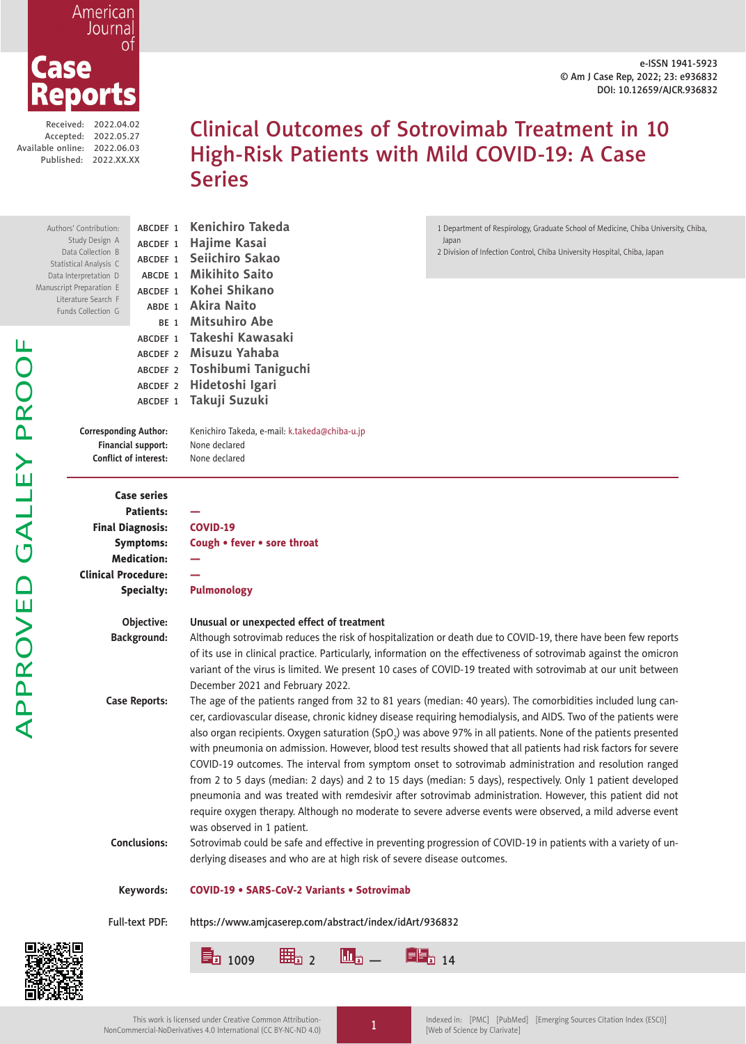e-ISSN 1941-5923 © Am J Case Rep, 2022; 23: e936832 DOI: 10.12659/AJCR.936832



Received: 2022.04.02 Accepted: 2022.05.27 Available online: 2022.06.03

Authors

APPROVED GALLEY PROOF

APPROVED GALLEY PROOF

 $Da$ Statist Data In Manuscript Liter Fund

Published: 2022.XX.XX

# Clinical Outcomes of Sotrovimab Treatment in 10 High-Risk Patients with Mild COVID-19: A Case Series

|                                                                                                                  | Full-text PDF:                                                                                 | https://www.amjcaserep.com/abstract/index/idArt/936832                                                                                                                                                                                                                                                                                                                                                                                                                                                                                                                                                                                                                                                                                                                                                                                                                                                                                                                                                                                                                                                                                     |  |
|------------------------------------------------------------------------------------------------------------------|------------------------------------------------------------------------------------------------|--------------------------------------------------------------------------------------------------------------------------------------------------------------------------------------------------------------------------------------------------------------------------------------------------------------------------------------------------------------------------------------------------------------------------------------------------------------------------------------------------------------------------------------------------------------------------------------------------------------------------------------------------------------------------------------------------------------------------------------------------------------------------------------------------------------------------------------------------------------------------------------------------------------------------------------------------------------------------------------------------------------------------------------------------------------------------------------------------------------------------------------------|--|
|                                                                                                                  | Keywords:                                                                                      | <b>COVID-19 • SARS-CoV-2 Variants • Sotrovimab</b>                                                                                                                                                                                                                                                                                                                                                                                                                                                                                                                                                                                                                                                                                                                                                                                                                                                                                                                                                                                                                                                                                         |  |
|                                                                                                                  | <b>Case Reports:</b><br><b>Conclusions:</b>                                                    | The age of the patients ranged from 32 to 81 years (median: 40 years). The comorbidities included lung can-<br>cer, cardiovascular disease, chronic kidney disease requiring hemodialysis, and AIDS. Two of the patients were<br>also organ recipients. Oxygen saturation (SpO.) was above 97% in all patients. None of the patients presented<br>with pneumonia on admission. However, blood test results showed that all patients had risk factors for severe<br>COVID-19 outcomes. The interval from symptom onset to sotrovimab administration and resolution ranged<br>from 2 to 5 days (median: 2 days) and 2 to 15 days (median: 5 days), respectively. Only 1 patient developed<br>pneumonia and was treated with remdesivir after sotrovimab administration. However, this patient did not<br>require oxygen therapy. Although no moderate to severe adverse events were observed, a mild adverse event<br>was observed in 1 patient.<br>Sotrovimab could be safe and effective in preventing progression of COVID-19 in patients with a variety of un-<br>derlying diseases and who are at high risk of severe disease outcomes. |  |
|                                                                                                                  | Objective:<br><b>Background:</b>                                                               | Unusual or unexpected effect of treatment<br>Although sotrovimab reduces the risk of hospitalization or death due to COVID-19, there have been few reports<br>of its use in clinical practice. Particularly, information on the effectiveness of sotrovimab against the omicron<br>variant of the virus is limited. We present 10 cases of COVID-19 treated with sotrovimab at our unit between<br>December 2021 and February 2022.                                                                                                                                                                                                                                                                                                                                                                                                                                                                                                                                                                                                                                                                                                        |  |
| <b>Final Diagnosis:</b><br><b>Clinical Procedure:</b>                                                            | <b>Case series</b><br><b>Patients:</b><br><b>Symptoms:</b><br><b>Medication:</b><br>Specialty: | <b>COVID-19</b><br>Cough • fever • sore throat<br><b>Pulmonology</b>                                                                                                                                                                                                                                                                                                                                                                                                                                                                                                                                                                                                                                                                                                                                                                                                                                                                                                                                                                                                                                                                       |  |
| <b>Corresponding Author:</b><br>Conflict of interest:                                                            | ABCDEF 1<br>Financial support:                                                                 | Takuji Suzuki<br>Kenichiro Takeda, e-mail: k.takeda@chiba-u.jp<br>None declared<br>None declared                                                                                                                                                                                                                                                                                                                                                                                                                                                                                                                                                                                                                                                                                                                                                                                                                                                                                                                                                                                                                                           |  |
|                                                                                                                  | ABCDEF 1<br>ABCDEF 2<br>ABCDEF 2<br>ABCDEF 2                                                   | Takeshi Kawasaki<br>Misuzu Yahaba<br>Toshibumi Taniguchi<br>Hidetoshi Igari                                                                                                                                                                                                                                                                                                                                                                                                                                                                                                                                                                                                                                                                                                                                                                                                                                                                                                                                                                                                                                                                |  |
| ata Collection B<br>tical Analysis C<br>nterpretation D<br>t Preparation E<br>rature Search F<br>ds Collection G | ABCDEF 1<br>ABCDE 1<br>ABCDEF 1<br>BE <sub>1</sub>                                             | 2 Division of Infection Control, Chiba University Hospital, Chiba, Japan<br>Seiichiro Sakao<br><b>Mikihito Saito</b><br>Kohei Shikano<br>ABDE 1 Akira Naito<br><b>Mitsuhiro Abe</b>                                                                                                                                                                                                                                                                                                                                                                                                                                                                                                                                                                                                                                                                                                                                                                                                                                                                                                                                                        |  |
| 's' Contribution:<br>Study Design A                                                                              | ABCDEF 1<br>ABCDEF 1                                                                           | Kenichiro Takeda<br>1 Department of Respirology, Graduate School of Medicine, Chiba University, Chiba,<br>Hajime Kasai<br>Japan                                                                                                                                                                                                                                                                                                                                                                                                                                                                                                                                                                                                                                                                                                                                                                                                                                                                                                                                                                                                            |  |

 $\begin{array}{|l|} \hline \end{array}$   $\begin{array}{|l|} \hline \end{array}$   $\begin{array}{|l|} \hline \end{array}$   $\begin{array}{|l|} \hline \end{array}$   $\begin{array}{|l|} \hline \end{array}$   $\begin{array}{|l|} \hline \end{array}$   $\begin{array}{|l|} \hline \end{array}$   $\begin{array}{|l|} \hline \end{array}$   $\begin{array}{|l|} \hline \end{array}$   $\begin{array}{|l|} \hline \end{array}$   $\begin{array}{|l|} \hline \end{array}$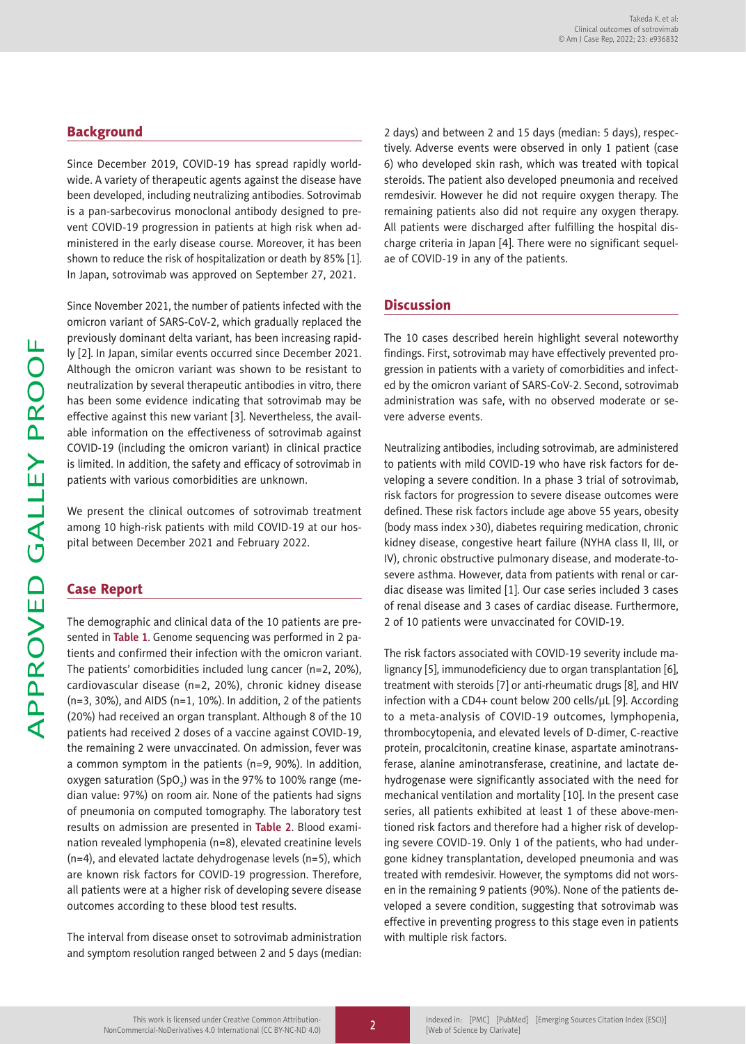# **Background**

Since December 2019, COVID-19 has spread rapidly worldwide. A variety of therapeutic agents against the disease have been developed, including neutralizing antibodies. Sotrovimab is a pan-sarbecovirus monoclonal antibody designed to prevent COVID-19 progression in patients at high risk when administered in the early disease course. Moreover, it has been shown to reduce the risk of hospitalization or death by 85% [1]. In Japan, sotrovimab was approved on September 27, 2021.

Since November 2021, the number of patients infected with the omicron variant of SARS-CoV-2, which gradually replaced the previously dominant delta variant, has been increasing rapidly [2]. In Japan, similar events occurred since December 2021. Although the omicron variant was shown to be resistant to neutralization by several therapeutic antibodies in vitro, there has been some evidence indicating that sotrovimab may be effective against this new variant [3]. Nevertheless, the available information on the effectiveness of sotrovimab against COVID-19 (including the omicron variant) in clinical practice is limited. In addition, the safety and efficacy of sotrovimab in patients with various comorbidities are unknown.

We present the clinical outcomes of sotrovimab treatment among 10 high-risk patients with mild COVID-19 at our hospital between December 2021 and February 2022.

# Case Report

The demographic and clinical data of the 10 patients are presented in **Table 1**. Genome sequencing was performed in 2 patients and confirmed their infection with the omicron variant. The patients' comorbidities included lung cancer (n=2, 20%), cardiovascular disease (n=2, 20%), chronic kidney disease  $(n=3, 30\%)$ , and AIDS  $(n=1, 10\%)$ . In addition, 2 of the patients (20%) had received an organ transplant. Although 8 of the 10 patients had received 2 doses of a vaccine against COVID-19, the remaining 2 were unvaccinated. On admission, fever was a common symptom in the patients (n=9, 90%). In addition, oxygen saturation (SpO $_{\rm 2}$ ) was in the 97% to 100% range (median value: 97%) on room air. None of the patients had signs of pneumonia on computed tomography. The laboratory test results on admission are presented in **Table 2**. Blood examination revealed lymphopenia (n=8), elevated creatinine levels (n=4), and elevated lactate dehydrogenase levels (n=5), which are known risk factors for COVID-19 progression. Therefore, all patients were at a higher risk of developing severe disease outcomes according to these blood test results.

The interval from disease onset to sotrovimab administration and symptom resolution ranged between 2 and 5 days (median:

2 days) and between 2 and 15 days (median: 5 days), respectively. Adverse events were observed in only 1 patient (case 6) who developed skin rash, which was treated with topical steroids. The patient also developed pneumonia and received remdesivir. However he did not require oxygen therapy. The remaining patients also did not require any oxygen therapy. All patients were discharged after fulfilling the hospital discharge criteria in Japan [4]. There were no significant sequelae of COVID-19 in any of the patients.

# **Discussion**

The 10 cases described herein highlight several noteworthy findings. First, sotrovimab may have effectively prevented progression in patients with a variety of comorbidities and infected by the omicron variant of SARS-CoV-2. Second, sotrovimab administration was safe, with no observed moderate or severe adverse events.

Neutralizing antibodies, including sotrovimab, are administered to patients with mild COVID-19 who have risk factors for developing a severe condition. In a phase 3 trial of sotrovimab, risk factors for progression to severe disease outcomes were defined. These risk factors include age above 55 years, obesity (body mass index >30), diabetes requiring medication, chronic kidney disease, congestive heart failure (NYHA class II, III, or IV), chronic obstructive pulmonary disease, and moderate-tosevere asthma. However, data from patients with renal or cardiac disease was limited [1]. Our case series included 3 cases of renal disease and 3 cases of cardiac disease. Furthermore, 2 of 10 patients were unvaccinated for COVID-19.

The risk factors associated with COVID-19 severity include malignancy [5], immunodeficiency due to organ transplantation [6], treatment with steroids [7] or anti-rheumatic drugs [8], and HIV infection with a CD4+ count below 200 cells/μL [9]. According to a meta-analysis of COVID-19 outcomes, lymphopenia, thrombocytopenia, and elevated levels of D-dimer, C-reactive protein, procalcitonin, creatine kinase, aspartate aminotransferase, alanine aminotransferase, creatinine, and lactate dehydrogenase were significantly associated with the need for mechanical ventilation and mortality [10]. In the present case series, all patients exhibited at least 1 of these above-mentioned risk factors and therefore had a higher risk of developing severe COVID-19. Only 1 of the patients, who had undergone kidney transplantation, developed pneumonia and was treated with remdesivir. However, the symptoms did not worsen in the remaining 9 patients (90%). None of the patients developed a severe condition, suggesting that sotrovimab was effective in preventing progress to this stage even in patients with multiple risk factors.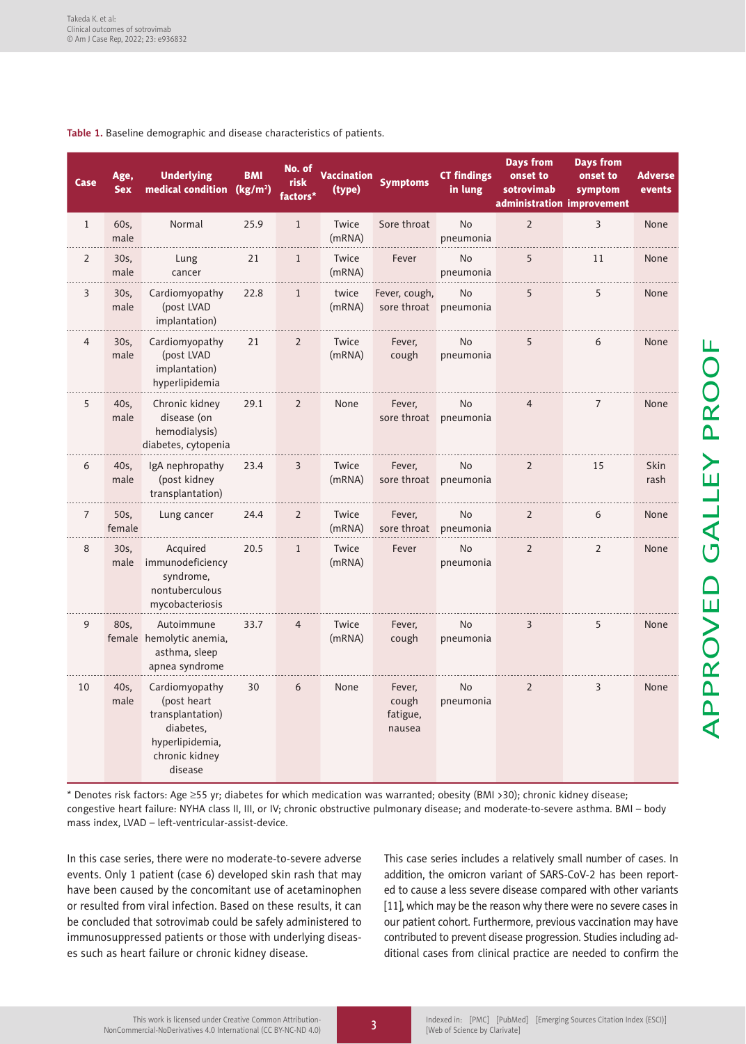| Case           | Age,<br><b>Sex</b> | <b>Underlying</b><br>medical condition                                                                         | <b>BMI</b><br>(kg/m <sup>2</sup> ) | No. of<br>risk<br>factors* | <b>Vaccination</b><br>(type) | <b>Symptoms</b>                        | <b>CT findings</b><br>in lung | <b>Days from</b><br>onset to<br>sotrovimab<br>administration improvement | <b>Days from</b><br>onset to<br>symptom | <b>Adverse</b><br>events |
|----------------|--------------------|----------------------------------------------------------------------------------------------------------------|------------------------------------|----------------------------|------------------------------|----------------------------------------|-------------------------------|--------------------------------------------------------------------------|-----------------------------------------|--------------------------|
| $\mathbf{1}$   | 60s,<br>male       | Normal                                                                                                         | 25.9                               | $\mathbf{1}$               | Twice<br>(mRNA)              | Sore throat                            | <b>No</b><br>pneumonia        | $\overline{2}$                                                           | 3                                       | None                     |
| $\overline{2}$ | 30s,<br>male       | Lung<br>cancer                                                                                                 | 21                                 | $\mathbf{1}$               | Twice<br>(mRNA)              | Fever                                  | <b>No</b><br>pneumonia        | 5                                                                        | 11                                      | None                     |
| 3              | 30s,<br>male       | Cardiomyopathy<br>(post LVAD<br>implantation)                                                                  | 22.8                               | $\mathbf{1}$               | twice<br>(mRNA)              | Fever, cough,<br>sore throat pneumonia | No                            | 5                                                                        | 5                                       | None                     |
| 4              | 30s,<br>male       | Cardiomyopathy<br>(post LVAD<br>implantation)<br>hyperlipidemia                                                | 21                                 | $\overline{2}$             | Twice<br>(mRNA)              | Fever,<br>cough                        | <b>No</b><br>pneumonia        | 5                                                                        | 6                                       | None                     |
| 5              | 40s.<br>male       | Chronic kidney<br>disease (on<br>hemodialysis)<br>diabetes, cytopenia                                          | 29.1                               | $\overline{2}$             | None                         | Fever,<br>sore throat pneumonia        | <b>No</b>                     | $\overline{4}$                                                           | $\overline{7}$                          | None                     |
| 6              | 40s,<br>male       | IgA nephropathy<br>(post kidney<br>transplantation)                                                            | 23.4                               | 3                          | Twice<br>(mRNA)              | Fever,                                 | No<br>sore throat pneumonia   | $\overline{2}$                                                           | 15                                      | Skin<br>rash             |
| $\overline{7}$ | 50s,<br>female     | Lung cancer                                                                                                    | 24.4                               | $\overline{2}$             | Twice<br>(mRNA)              | Fever,<br>sore throat pneumonia        | <b>No</b>                     | $\overline{2}$                                                           | 6                                       | None                     |
| 8              | 30s,<br>male       | Acquired<br>immunodeficiency<br>syndrome,<br>nontuberculous<br>mycobacteriosis                                 | 20.5                               | $\mathbf{1}$               | Twice<br>(mRNA)              | Fever                                  | <b>No</b><br>pneumonia        | $\overline{2}$                                                           | $\overline{2}$                          | None                     |
| 9              | 80s,               | Autoimmune<br>female hemolytic anemia,<br>asthma, sleep<br>apnea syndrome                                      | 33.7                               | $\overline{4}$             | Twice<br>(mRNA)              | Fever,<br>cough                        | No<br>pneumonia               | 3                                                                        | 5                                       | None                     |
| 10             | 40s,<br>male       | Cardiomyopathy<br>(post heart<br>transplantation)<br>diabetes.<br>hyperlipidemia,<br>chronic kidney<br>disease | 30                                 | 6                          | None                         | Fever,<br>cough<br>fatigue,<br>nausea  | No<br>pneumonia               | $\overline{2}$                                                           | 3                                       | None                     |

### **Table 1.** Baseline demographic and disease characteristics of patients.

\* Denotes risk factors: Age ≥55 yr; diabetes for which medication was warranted; obesity (BMI >30); chronic kidney disease; congestive heart failure: NYHA class II, III, or IV; chronic obstructive pulmonary disease; and moderate-to-severe asthma. BMI – body mass index, LVAD – left-ventricular-assist-device.

In this case series, there were no moderate-to-severe adverse events. Only 1 patient (case 6) developed skin rash that may have been caused by the concomitant use of acetaminophen or resulted from viral infection. Based on these results, it can be concluded that sotrovimab could be safely administered to immunosuppressed patients or those with underlying diseases such as heart failure or chronic kidney disease.

This case series includes a relatively small number of cases. In addition, the omicron variant of SARS-CoV-2 has been reported to cause a less severe disease compared with other variants [11], which may be the reason why there were no severe cases in our patient cohort. Furthermore, previous vaccination may have contributed to prevent disease progression. Studies including additional cases from clinical practice are needed to confirm the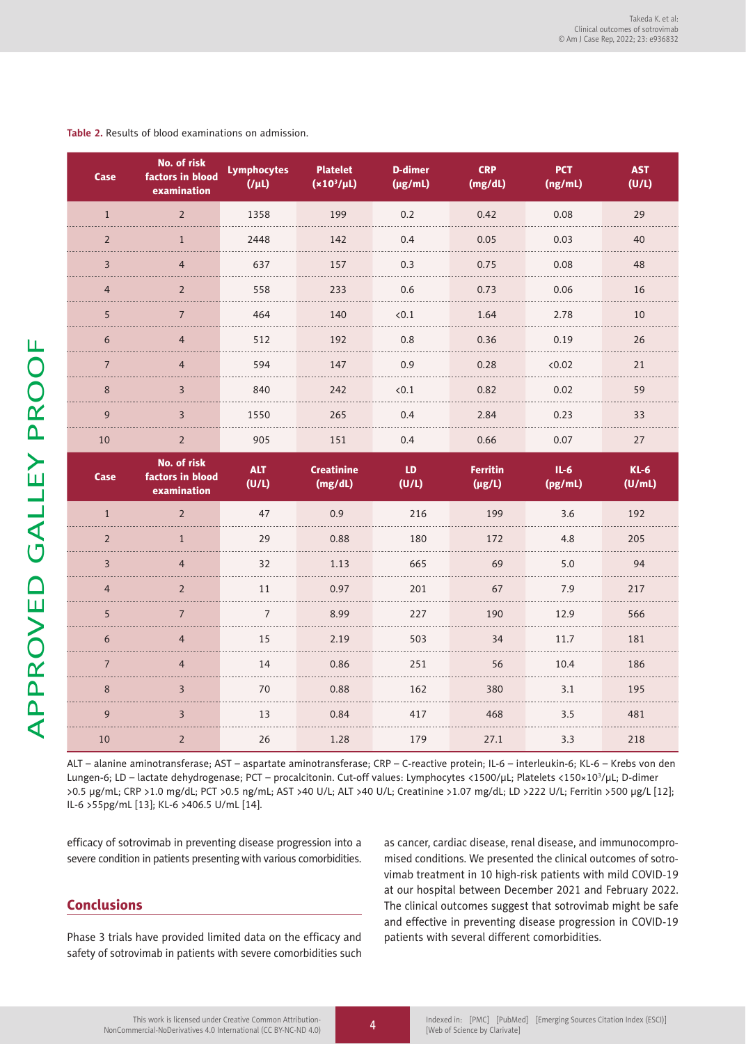| Case           | No. of risk<br>factors in blood<br>examination | <b>Lymphocytes</b><br>$(I \mu L)$ | <b>Platelet</b><br>$(x10^3/\mu L)$ | <b>D-dimer</b><br>$(\mu g/mL)$ | <b>CRP</b><br>(mg/dL)          | <b>PCT</b><br>(ng/mL) | <b>AST</b><br>(U/L) |
|----------------|------------------------------------------------|-----------------------------------|------------------------------------|--------------------------------|--------------------------------|-----------------------|---------------------|
| $\mathbf{1}$   | $\overline{2}$                                 | 1358                              | 199                                | 0.2                            | 0.42                           | 0.08                  | 29                  |
| $\overline{2}$ | $\mathbf{1}$                                   | 2448                              | 142                                | 0.4                            | 0.05                           | 0.03                  | 40                  |
| 3              | $\overline{4}$                                 | 637                               | 157                                | 0.3                            | 0.75                           | 0.08                  | 48                  |
| $\overline{4}$ | $\overline{2}$                                 | 558                               | 233                                | 0.6                            | 0.73                           | 0.06                  | 16                  |
| 5              | $\overline{7}$                                 | 464                               | 140                                | < 0.1                          | 1.64                           | 2.78                  | 10                  |
| 6              | $\overline{4}$                                 | 512                               | 192                                | 0.8                            | 0.36                           | 0.19                  | 26                  |
| $\overline{7}$ | $\overline{4}$                                 | 594                               | 147                                | 0.9                            | 0.28                           | <0.02                 | 21                  |
| 8              | 3                                              | 840                               | 242                                | < 0.1                          | 0.82                           | 0.02                  | 59                  |
| 9              | 3                                              | 1550                              | 265                                | 0.4                            | 2.84                           | 0.23                  | 33                  |
| 10             | $\overline{2}$                                 | 905                               | 151                                | 0.4                            | 0.66                           | 0.07                  | 27                  |
|                |                                                |                                   |                                    |                                |                                |                       |                     |
| Case           | No. of risk<br>factors in blood<br>examination | <b>ALT</b><br>(U/L)               | <b>Creatinine</b><br>(mg/dL)       | LD<br>(U/L)                    | <b>Ferritin</b><br>$(\mu g/L)$ | $IL-6$<br>(pg/mL)     | $KL-6$<br>(U/mL)    |
| $\mathbf{1}$   | $\overline{2}$                                 | 47                                | 0.9                                | 216                            | 199                            | 3.6                   | 192                 |
| $\overline{2}$ | $\mathbf{1}$                                   | 29                                | 0.88                               | 180                            | 172                            | 4.8                   | 205                 |
| $\overline{3}$ | $\overline{4}$                                 | 32                                | 1.13                               | 665                            | 69                             | 5.0                   | 94                  |
| $\overline{4}$ | $\overline{2}$                                 | 11                                | 0.97                               | 201                            | 67                             | 7.9                   | 217                 |
| 5              | $\overline{7}$                                 | $\overline{7}$                    | 8.99                               | 227                            | 190                            | 12.9                  | 566                 |
| 6              | $\overline{4}$                                 | 15                                | 2.19                               | 503                            | 34                             | 11.7                  | 181                 |
| $\overline{7}$ | $\overline{4}$                                 | 14                                | 0.86                               | 251                            | 56                             | 10.4                  | 186                 |
| $\,8\,$        | 3                                              | 70                                | 0.88                               | 162                            | 380                            | 3.1                   | 195                 |
| 9              | 3                                              | 13                                | 0.84                               | 417                            | 468                            | 3.5                   | 481                 |

#### **Table 2.** Results of blood examinations on admission.

ALT – alanine aminotransferase; AST – aspartate aminotransferase; CRP – C-reactive protein; IL-6 – interleukin-6; KL-6 – Krebs von den Lungen-6; LD – lactate dehydrogenase; PCT – procalcitonin. Cut-off values: Lymphocytes <1500/μL; Platelets <150×103 /μL; D-dimer >0.5 μg/mL; CRP >1.0 mg/dL; PCT >0.5 ng/mL; AST >40 U/L; ALT >40 U/L; Creatinine >1.07 mg/dL; LD >222 U/L; Ferritin >500 μg/L [12]; IL-6 >55pg/mL [13]; KL-6 >406.5 U/mL [14].

efficacy of sotrovimab in preventing disease progression into a severe condition in patients presenting with various comorbidities.

# Conclusions

Phase 3 trials have provided limited data on the efficacy and safety of sotrovimab in patients with severe comorbidities such

as cancer, cardiac disease, renal disease, and immunocompromised conditions. We presented the clinical outcomes of sotrovimab treatment in 10 high-risk patients with mild COVID-19 at our hospital between December 2021 and February 2022. The clinical outcomes suggest that sotrovimab might be safe and effective in preventing disease progression in COVID-19 patients with several different comorbidities.